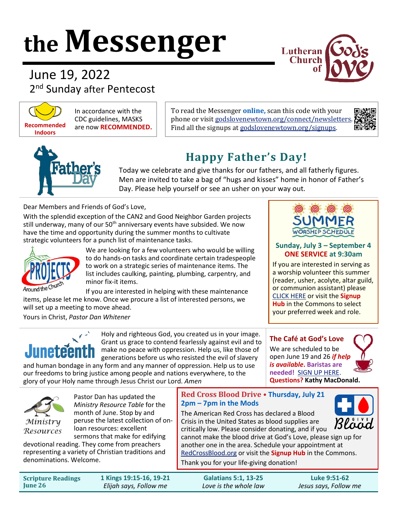# **the Messenger**



June 19, 2022 2<sup>nd</sup> Sunday after Pentecost



In accordance with the CDC guidelines, MASKS are now **RECOMMENDED.**

To read the Messenger **online,** scan this code with your phone or visit godslovenewtown.org/connect/newsletters Find all the signups at [godslovenewtown.org/signups.](http://www.godslovenewtown.org/signups)





# **Happy Father's Day!**

Today we celebrate and give thanks for our fathers, and all fatherly figures. Men are invited to take a bag of "hugs and kisses" home in honor of Father's Day. Please help yourself or see an usher on your way out.

Dear Members and Friends of God's Love,

With the splendid exception of the CAN2 and Good Neighbor Garden projects still underway, many of our 50<sup>th</sup> anniversary events have subsided. We now have the time and opportunity during the summer months to cultivate strategic volunteers for a punch list of maintenance tasks.



We are looking for a few volunteers who would be willing to do hands-on tasks and coordinate certain tradespeople to work on a strategic series of maintenance items. The list includes caulking, painting, plumbing, carpentry, and minor fix-it items.

If you are interested in helping with these maintenance items, please let me know. Once we procure a list of interested persons, we will set up a meeting to move ahead.

Yours in Christ, *Pastor Dan Whitener*



Holy and righteous God, you created us in your image. Grant us grace to contend fearlessly against evil and to make no peace with oppression. Help us, like those of generations before us who resisted the evil of slavery

and human bondage in any form and any manner of oppression. Help us to use our freedoms to bring justice among people and nations everywhere, to the glory of your Holy name through Jesus Christ our Lord. *Amen*



#### **Sunday, July 3 – September 4 ONE SERVICE at 9:30am**

If you are interested in serving as a worship volunteer this summer (reader, usher, acolyte, altar guild, or communion assistant) please [CLICK HERE](https://www.signupgenius.com/go/10c0e49aeaf23a2f5c34-worship) or visit the **Signup Hub** in the Commons to select your preferred week and role.

#### **The Café at God's Love** We are scheduled to be open June 19 and 26 *if help is available***. Baristas are needed!** [SIGN UP HERE.](https://www.signupgenius.com/go/8050D4EA4AE2BA1FA7-thecafe) **Questions? Kathy MacDonald.**





Pastor Dan has updated the *Ministry Resource Table* for the month of June. Stop by and peruse the latest collection of onloan resources: excellent sermons that make for edifying

devotional reading. They come from preachers representing a variety of Christian traditions and denominations. Welcome.

#### **Red Cross Blood Drive • Thursday, July 21 2pm – 7pm in the Mods**

The American Red Cross has declared a Blood Crisis in the United States as blood supplies are critically low. Please consider donating, and if you



cannot make the blood drive at God's Love, please sign up for another one in the area. Schedule your appointment at [RedCrossBlood.org](http://redcrossblood.org/) or visit the **Signup Hub** in the Commons.

Thank you for your life-giving donation!

| <b>Scripture Readings</b> | 1 Kings 19:15-16, 19-21 | <b>Galatians 5:1, 13-25</b> | Luke 9:51-62          |
|---------------------------|-------------------------|-----------------------------|-----------------------|
| <b>June 26</b>            | Elijah says, Follow me  | Love is the whole law       | Jesus says, Follow me |